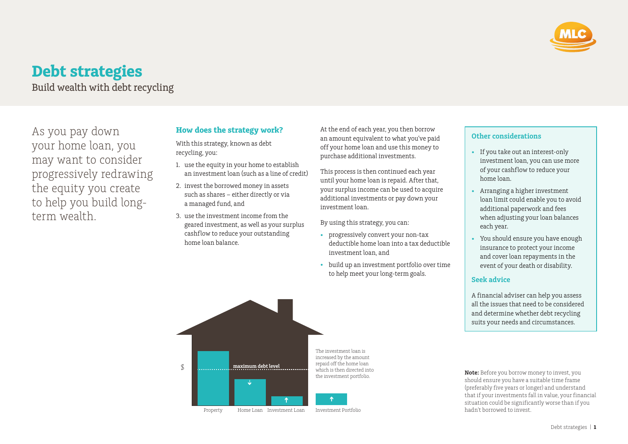

# **Debt strategies**

Build wealth with debt recycling

As you pay down your home loan, you may want to consider progressively redrawing the equity you create to help you build longterm wealth.

## **How does the strategy work?**

With this strategy, known as debt recycling, you:

- 1. use the equity in your home to establish an investment loan (such as a line of credit)
- 2. invest the borrowed money in assets such as shares – either directly or via a managed fund, and
- 3. use the investment income from the geared investment, as well as your surplus cashflow to reduce your outstanding home loan balance.

At the end of each year, you then borrow an amount equivalent to what you've paid off your home loan and use this money to purchase additional investments.

This process is then continued each year until your home loan is repaid. After that, your surplus income can be used to acquire additional investments or pay down your investment loan.

By using this strategy, you can:

- progressively convert your non-tax deductible home loan into a tax deductible investment loan, and
- build up an investment portfolio over time to help meet your long-term goals.

### **Other considerations**

- If you take out an interest-only investment loan, you can use more of your cashflow to reduce your home loan.
- Arranging a higher investment loan limit could enable you to avoid additional paperwork and fees when adjusting your loan balances each year.
- You should ensure you have enough insurance to protect your income and cover loan repayments in the event of your death or disability.

#### **Seek advice**

A financial adviser can help you assess all the issues that need to be considered and determine whether debt recycling suits your needs and circumstances.

Property Home Loan Investment Loan Investment Portfolio The investment loan is increased by the amount repaid off the home loan which is then directed into the investment portfolio. \$ **maximum debt level**

**Note:** Before you borrow money to invest, you should ensure you have a suitable time frame (preferably five years or longer) and understand that if your investments fall in value, your financial situation could be significantly worse than if you hadn't borrowed to invest.